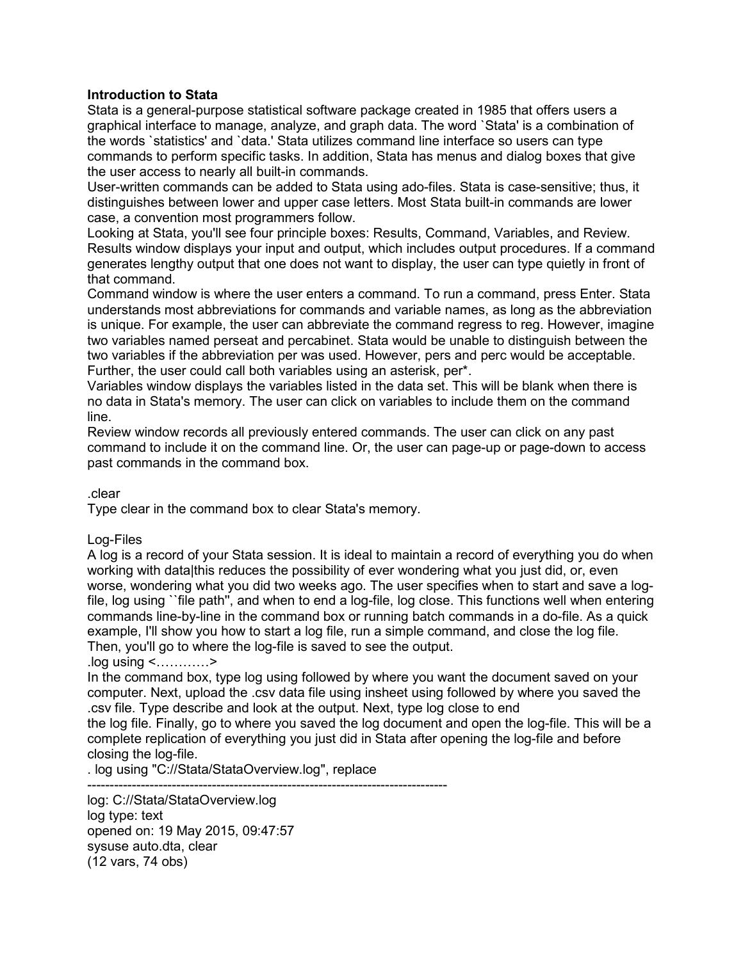## **Introduction to Stata**

Stata is a general-purpose statistical software package created in 1985 that offers users a graphical interface to manage, analyze, and graph data. The word `Stata' is a combination of the words `statistics' and `data.' Stata utilizes command line interface so users can type commands to perform specific tasks. In addition, Stata has menus and dialog boxes that give the user access to nearly all built-in commands.

User-written commands can be added to Stata using ado-files. Stata is case-sensitive; thus, it distinguishes between lower and upper case letters. Most Stata built-in commands are lower case, a convention most programmers follow.

Looking at Stata, you'll see four principle boxes: Results, Command, Variables, and Review. Results window displays your input and output, which includes output procedures. If a command generates lengthy output that one does not want to display, the user can type quietly in front of that command.

Command window is where the user enters a command. To run a command, press Enter. Stata understands most abbreviations for commands and variable names, as long as the abbreviation is unique. For example, the user can abbreviate the command regress to reg. However, imagine two variables named perseat and percabinet. Stata would be unable to distinguish between the two variables if the abbreviation per was used. However, pers and perc would be acceptable. Further, the user could call both variables using an asterisk, per\*.

Variables window displays the variables listed in the data set. This will be blank when there is no data in Stata's memory. The user can click on variables to include them on the command line.

Review window records all previously entered commands. The user can click on any past command to include it on the command line. Or, the user can page-up or page-down to access past commands in the command box.

#### .clear

Type clear in the command box to clear Stata's memory.

#### Log-Files

A log is a record of your Stata session. It is ideal to maintain a record of everything you do when working with data|this reduces the possibility of ever wondering what you just did, or, even worse, wondering what you did two weeks ago. The user specifies when to start and save a logfile, log using ``file path'', and when to end a log-file, log close. This functions well when entering commands line-by-line in the command box or running batch commands in a do-file. As a quick example, I'll show you how to start a log file, run a simple command, and close the log file. Then, you'll go to where the log-file is saved to see the output.

#### .log using <…………>

In the command box, type log using followed by where you want the document saved on your computer. Next, upload the .csv data file using insheet using followed by where you saved the .csv file. Type describe and look at the output. Next, type log close to end

the log file. Finally, go to where you saved the log document and open the log-file. This will be a complete replication of everything you just did in Stata after opening the log-file and before closing the log-file.

. log using "C://Stata/StataOverview.log", replace

---------------------------------------------------------------------------------

log: C://Stata/StataOverview.log log type: text opened on: 19 May 2015, 09:47:57 sysuse auto.dta, clear (12 vars, 74 obs)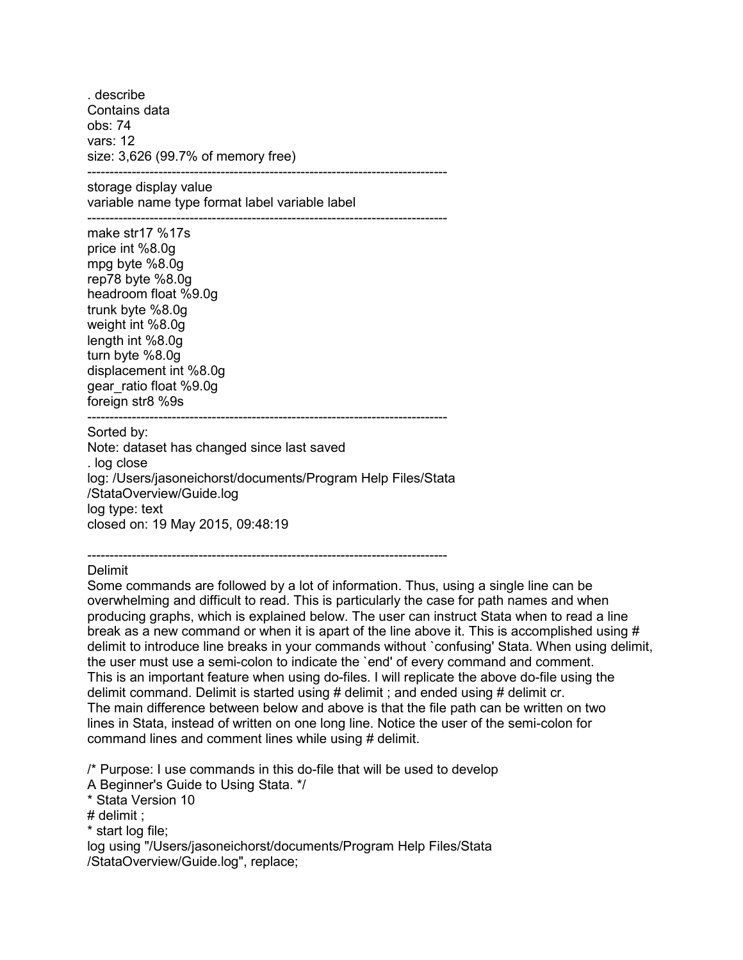. describe Contains data obs: 74 vars: 12 size: 3,626 (99.7% of memory free)

-------------------------------------------------------------------------------- storage display value variable name type format label variable label ---------------------------------------------------------------------------------

make str17 %17s price int %8.0g mpg byte %8.0g rep78 byte %8.0g headroom float %9.0g trunk byte %8.0g weight int %8.0g length int %8.0g turn byte %8.0g displacement int %8.0g gear\_ratio float %9.0g foreign str8 %9s ---------------------------------------------------------------------------------

Sorted by:

Note: dataset has changed since last saved . log close log: /Users/jasoneichorst/documents/Program Help Files/Stata /StataOverview/Guide.log log type: text closed on: 19 May 2015, 09:48:19

--------------------------------------------------------------------------------- Delimit

Some commands are followed by a lot of information. Thus, using a single line can be overwhelming and difficult to read. This is particularly the case for path names and when producing graphs, which is explained below. The user can instruct Stata when to read a line break as a new command or when it is apart of the line above it. This is accomplished using # delimit to introduce line breaks in your commands without `confusing' Stata. When using delimit, the user must use a semi-colon to indicate the `end' of every command and comment. This is an important feature when using do-files. I will replicate the above do-file using the delimit command. Delimit is started using # delimit ; and ended using # delimit cr. The main difference between below and above is that the file path can be written on two lines in Stata, instead of written on one long line. Notice the user of the semi-colon for command lines and comment lines while using # delimit.

/\* Purpose: I use commands in this do-file that will be used to develop

A Beginner's Guide to Using Stata. \*/

\* Stata Version 10

# delimit ;

\* start log file;

log using "/Users/jasoneichorst/documents/Program Help Files/Stata /StataOverview/Guide.log", replace;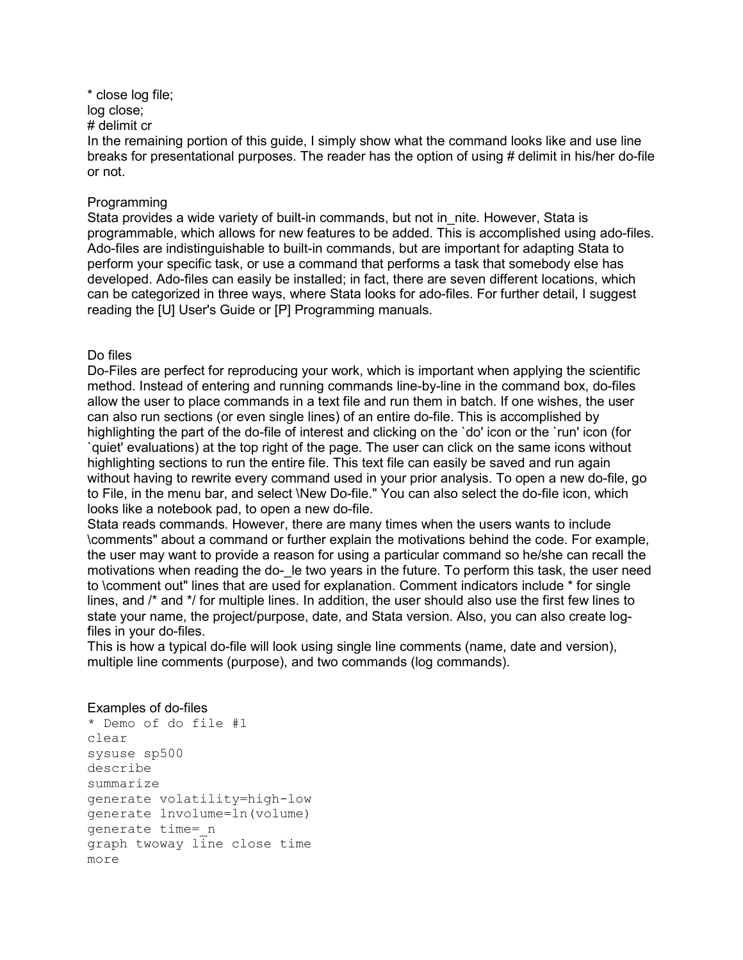## \* close log file;

log close;

# delimit cr

In the remaining portion of this guide, I simply show what the command looks like and use line breaks for presentational purposes. The reader has the option of using # delimit in his/her do-file or not.

#### Programming

Stata provides a wide variety of built-in commands, but not in nite. However, Stata is programmable, which allows for new features to be added. This is accomplished using ado-files. Ado-files are indistinguishable to built-in commands, but are important for adapting Stata to perform your specific task, or use a command that performs a task that somebody else has developed. Ado-files can easily be installed; in fact, there are seven different locations, which can be categorized in three ways, where Stata looks for ado-files. For further detail, I suggest reading the [U] User's Guide or [P] Programming manuals.

### Do files

Do-Files are perfect for reproducing your work, which is important when applying the scientific method. Instead of entering and running commands line-by-line in the command box, do-files allow the user to place commands in a text file and run them in batch. If one wishes, the user can also run sections (or even single lines) of an entire do-file. This is accomplished by highlighting the part of the do-file of interest and clicking on the 'do' icon or the 'run' icon (for `quiet' evaluations) at the top right of the page. The user can click on the same icons without highlighting sections to run the entire file. This text file can easily be saved and run again without having to rewrite every command used in your prior analysis. To open a new do-file, go to File, in the menu bar, and select \New Do-file." You can also select the do-file icon, which looks like a notebook pad, to open a new do-file.

Stata reads commands. However, there are many times when the users wants to include \comments" about a command or further explain the motivations behind the code. For example, the user may want to provide a reason for using a particular command so he/she can recall the motivations when reading the do- le two years in the future. To perform this task, the user need to \comment out" lines that are used for explanation. Comment indicators include \* for single lines, and /\* and \*/ for multiple lines. In addition, the user should also use the first few lines to state your name, the project/purpose, date, and Stata version. Also, you can also create logfiles in your do-files.

This is how a typical do-file will look using single line comments (name, date and version), multiple line comments (purpose), and two commands (log commands).

# Examples of do-files

```
* Demo of do file #1
clear
sysuse sp500
describe
summarize
generate volatility=high-low
generate lnvolume=ln(volume)
generate time=_n
graph twoway line close time
more
```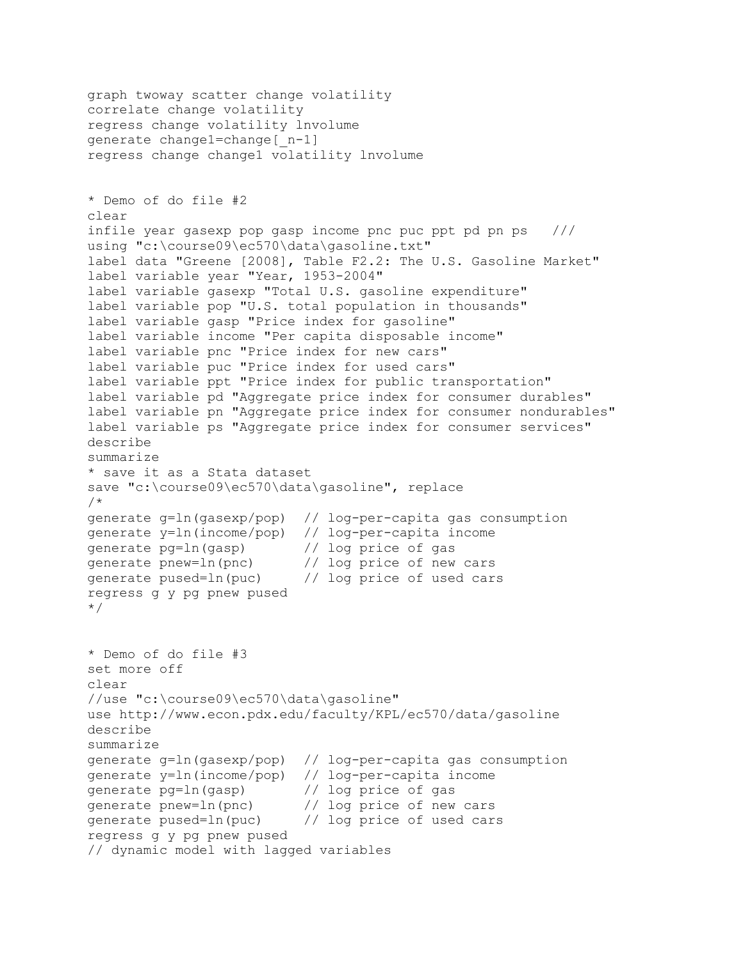```
graph twoway scatter change volatility
correlate change volatility 
regress change volatility lnvolume
generate change1=change[_n-1]
regress change change1 volatility lnvolume
* Demo of do file #2
clear
infile year gasexp pop gasp income pnc puc ppt pd pn ps ///
using "c:\course09\ec570\data\gasoline.txt"
label data "Greene [2008], Table F2.2: The U.S. Gasoline Market"
label variable year "Year, 1953-2004"
label variable gasexp "Total U.S. gasoline expenditure"
label variable pop "U.S. total population in thousands"
label variable gasp "Price index for gasoline"
label variable income "Per capita disposable income"
label variable pnc "Price index for new cars"
label variable puc "Price index for used cars"
label variable ppt "Price index for public transportation"
label variable pd "Aggregate price index for consumer durables"
label variable pn "Aggregate price index for consumer nondurables"
label variable ps "Aggregate price index for consumer services"
describe
summarize
* save it as a Stata dataset
save "c:\course09\ec570\data\gasoline", replace
/*
generate g=ln(gasexp/pop) // log-per-capita gas consumption
generate y=ln(income/pop) // log-per-capita income<br>qenerate pq=ln(qasp) // log price of qas
generate pg=ln(gasp)
generate pnew=ln(pnc) // log price of new cars<br>generate pused=ln(puc) // log price of used cars
generate pused=ln(puc)
regress g y pg pnew pused
*/
* Demo of do file #3
set more off
clear
//use "c:\course09\ec570\data\gasoline"
use http://www.econ.pdx.edu/faculty/KPL/ec570/data/gasoline
describe
summarize
generate g=ln(gasexp/pop) // log-per-capita gas consumption
generate y=ln(income/pop) // log-per-capita income<br>generate pq=ln(qasp) // log price of gas
generate pg=ln(gasp)<br>generate pnew=ln(pnc)
generate pnew=ln(pnc) // log price of new cars<br>generate pused=ln(puc) // log price of used car
                              // log price of used cars
regress g y pg pnew pused
// dynamic model with lagged variables
```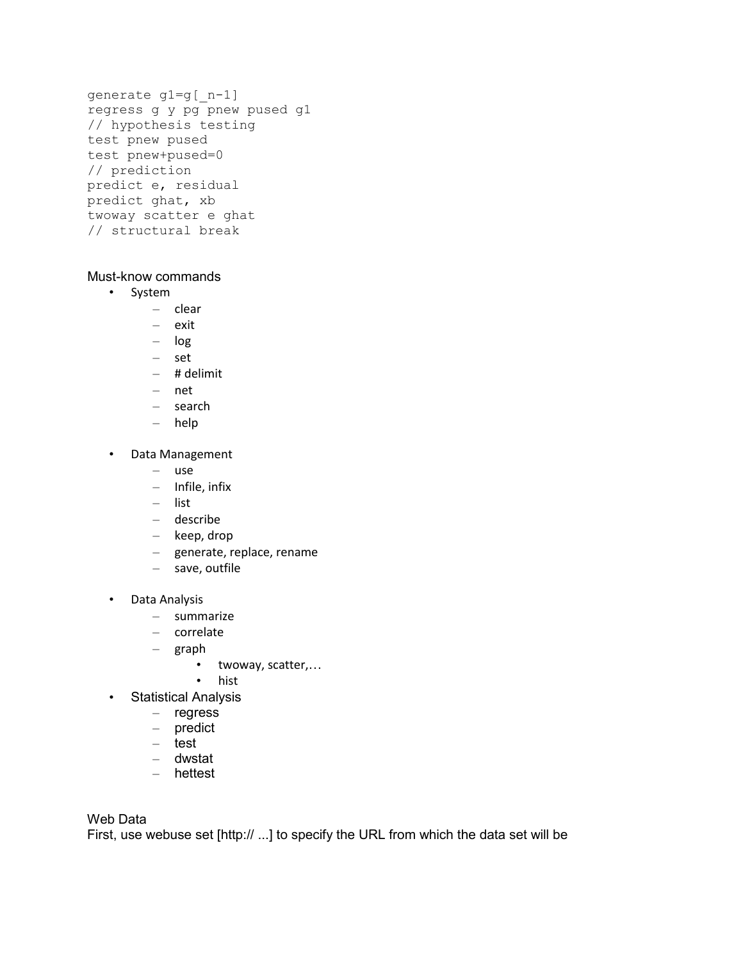```
generate g1=g[_n-1]
regress g y pg pnew pused g1
// hypothesis testing 
test pnew pused
test pnew+pused=0
// prediction
predict e, residual
predict ghat, xb
twoway scatter e ghat
// structural break
```
# Must-know commands

- System
	- clear
	- exit
	- log
	- set
	- # delimit
	- net
	- search
	- help
- Data Management
	- use
	- Infile, infix
	- list
	- describe
	- keep, drop
	- generate, replace, rename
	- save, outfile
- Data Analysis
	- summarize
	- correlate
	- graph
		- twoway, scatter,…
		- hist
- Statistical Analysis
	- regress
	- predict
	- test
	- dwstat
	- hettest

Web Data

First, use webuse set [http:// ...] to specify the URL from which the data set will be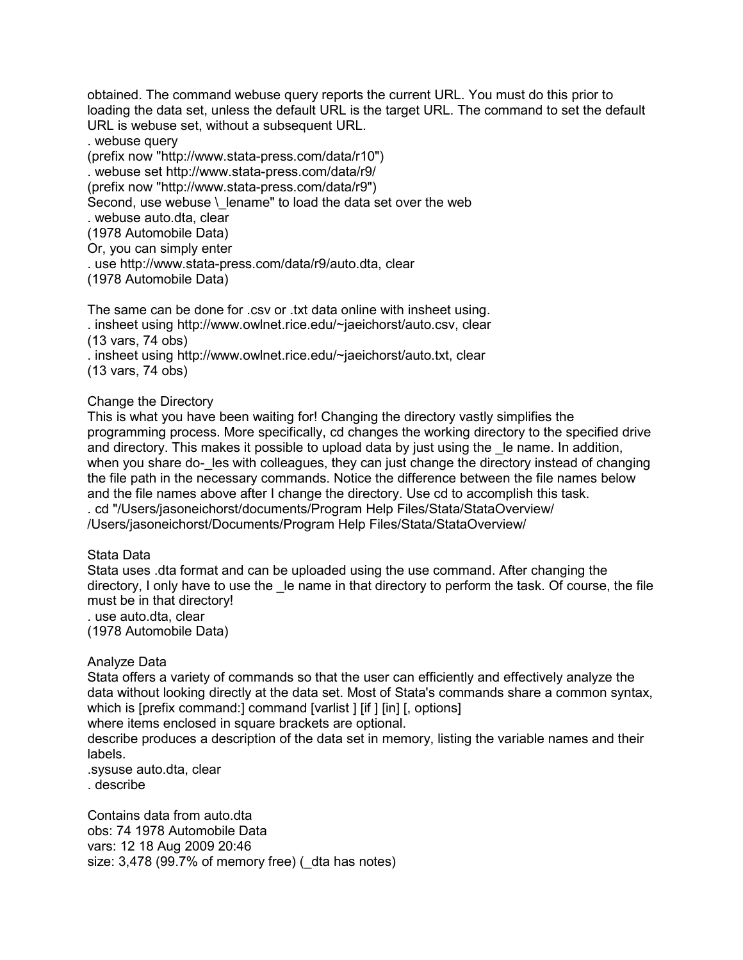obtained. The command webuse query reports the current URL. You must do this prior to loading the data set, unless the default URL is the target URL. The command to set the default URL is webuse set, without a subsequent URL.

. webuse query

(prefix now "http://www.stata-press.com/data/r10")

. webuse set http://www.stata-press.com/data/r9/

(prefix now "http://www.stata-press.com/data/r9")

Second, use webuse \ lename" to load the data set over the web

. webuse auto.dta, clear

(1978 Automobile Data)

Or, you can simply enter

. use http://www.stata-press.com/data/r9/auto.dta, clear

(1978 Automobile Data)

The same can be done for .csv or .txt data online with insheet using.

. insheet using http://www.owlnet.rice.edu/~jaeichorst/auto.csv, clear

(13 vars, 74 obs)

. insheet using http://www.owlnet.rice.edu/~jaeichorst/auto.txt, clear (13 vars, 74 obs)

### Change the Directory

This is what you have been waiting for! Changing the directory vastly simplifies the programming process. More specifically, cd changes the working directory to the specified drive and directory. This makes it possible to upload data by just using the le name. In addition, when you share do- les with colleagues, they can just change the directory instead of changing the file path in the necessary commands. Notice the difference between the file names below and the file names above after I change the directory. Use cd to accomplish this task. . cd "/Users/jasoneichorst/documents/Program Help Files/Stata/StataOverview/ /Users/jasoneichorst/Documents/Program Help Files/Stata/StataOverview/

# Stata Data

Stata uses .dta format and can be uploaded using the use command. After changing the directory, I only have to use the le name in that directory to perform the task. Of course, the file must be in that directory!

. use auto.dta, clear (1978 Automobile Data)

# Analyze Data

Stata offers a variety of commands so that the user can efficiently and effectively analyze the data without looking directly at the data set. Most of Stata's commands share a common syntax, which is [prefix command:] command [varlist ] [if ] [in] [, options]

where items enclosed in square brackets are optional.

describe produces a description of the data set in memory, listing the variable names and their labels.

.sysuse auto.dta, clear

. describe

Contains data from auto.dta obs: 74 1978 Automobile Data vars: 12 18 Aug 2009 20:46 size: 3,478 (99.7% of memory free) ( dta has notes)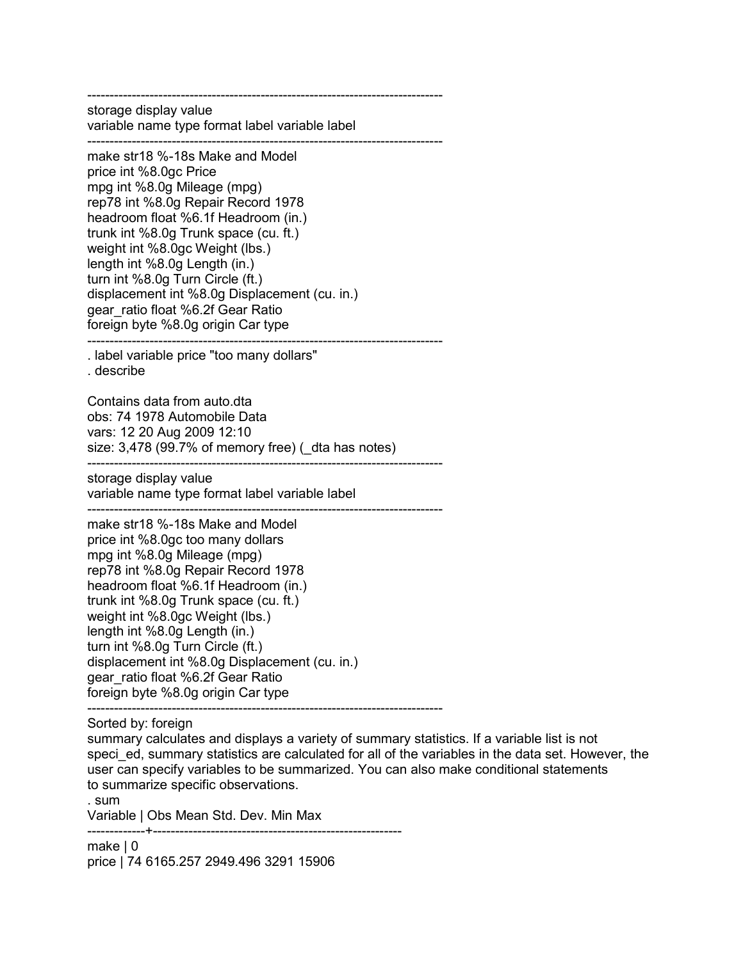------------------------------------------------------------------------------- storage display value variable name type format label variable label

------------------------------------------------------------------------------- make str18 %-18s Make and Model price int %8.0gc Price mpg int %8.0g Mileage (mpg) rep78 int %8.0g Repair Record 1978 headroom float %6.1f Headroom (in.) trunk int %8.0g Trunk space (cu. ft.) weight int %8.0gc Weight (lbs.) length int %8.0g Length (in.) turn int %8.0g Turn Circle (ft.) displacement int %8.0g Displacement (cu. in.) gear\_ratio float %6.2f Gear Ratio foreign byte %8.0g origin Car type --------------------------------------------------------------------------------

. label variable price "too many dollars"

. describe

Contains data from auto.dta obs: 74 1978 Automobile Data vars: 12 20 Aug 2009 12:10 size: 3,478 (99.7% of memory free) ( dta has notes) --------------------------------------------------------------------------------

storage display value

variable name type format label variable label --------------------------------------------------------------------------------

make str18 %-18s Make and Model price int %8.0gc too many dollars mpg int %8.0g Mileage (mpg) rep78 int %8.0g Repair Record 1978 headroom float %6.1f Headroom (in.) trunk int %8.0g Trunk space (cu. ft.) weight int %8.0gc Weight (lbs.) length int %8.0g Length (in.) turn int %8.0g Turn Circle (ft.) displacement int %8.0g Displacement (cu. in.) gear\_ratio float %6.2f Gear Ratio foreign byte %8.0g origin Car type

-------------------------------------------------------------------------------- Sorted by: foreign

summary calculates and displays a variety of summary statistics. If a variable list is not speci ed, summary statistics are calculated for all of the variables in the data set. However, the user can specify variables to be summarized. You can also make conditional statements to summarize specific observations.

. sum

Variable | Obs Mean Std. Dev. Min Max

-------------+--------------------------------------------------------

make | 0 price | 74 6165.257 2949.496 3291 15906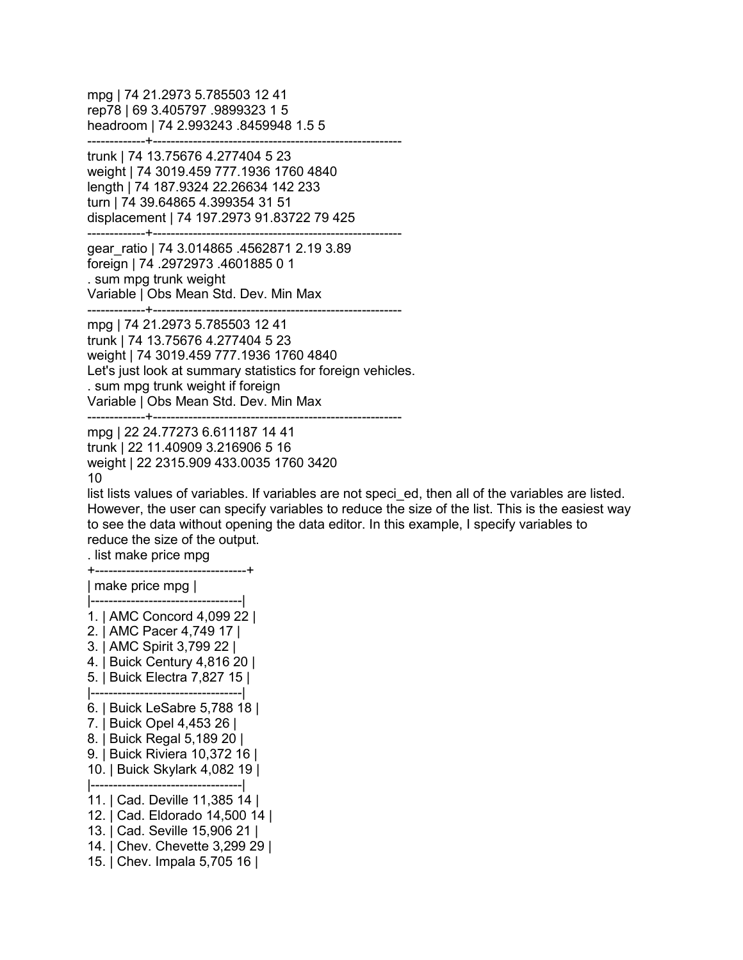mpg | 74 21.2973 5.785503 12 41 rep78 | 69 3.405797 .9899323 1 5 headroom | 74 2.993243 .8459948 1.5 5 -------------+------------------------------------------------------- trunk | 74 13.75676 4.277404 5 23 weight | 74 3019.459 777.1936 1760 4840 length | 74 187.9324 22.26634 142 233 turn | 74 39.64865 4.399354 31 51 displacement | 74 197.2973 91.83722 79 425 -------------+------------------------------------------------------- gear\_ratio | 74 3.014865 .4562871 2.19 3.89 foreign | 74 .2972973 .4601885 0 1 . sum mpg trunk weight Variable | Obs Mean Std. Dev. Min Max -------------+------------------------------------------------------- mpg | 74 21.2973 5.785503 12 41 trunk | 74 13.75676 4.277404 5 23 weight | 74 3019.459 777.1936 1760 4840 Let's just look at summary statistics for foreign vehicles. . sum mpg trunk weight if foreign Variable | Obs Mean Std. Dev. Min Max -------------+------------------------------------------------------- mpg | 22 24.77273 6.611187 14 41 trunk | 22 11.40909 3.216906 5 16 weight | 22 2315.909 433.0035 1760 3420 10 list lists values of variables. If variables are not speci\_ed, then all of the variables are listed. However, the user can specify variables to reduce the size of the list. This is the easiest way to see the data without opening the data editor. In this example, I specify variables to reduce the size of the output. . list make price mpg +----------------------------------+ | make price mpg | |----------------------------------| 1. | AMC Concord 4,099 22 | 2. | AMC Pacer 4,749 17 | 3. | AMC Spirit 3,799 22 | 4. | Buick Century 4,816 20 | 5. | Buick Electra 7,827 15 | |----------------------------------| 6. | Buick LeSabre 5,788 18 | 7. | Buick Opel 4,453 26 | 8. | Buick Regal 5,189 20 | 9. | Buick Riviera 10,372 16 | 10. | Buick Skylark 4,082 19 | |----------------------------------| 11. | Cad. Deville 11,385 14 | 12. | Cad. Eldorado 14,500 14 | 13. | Cad. Seville 15,906 21 | 14. | Chev. Chevette 3,299 29 | 15. | Chev. Impala 5,705 16 |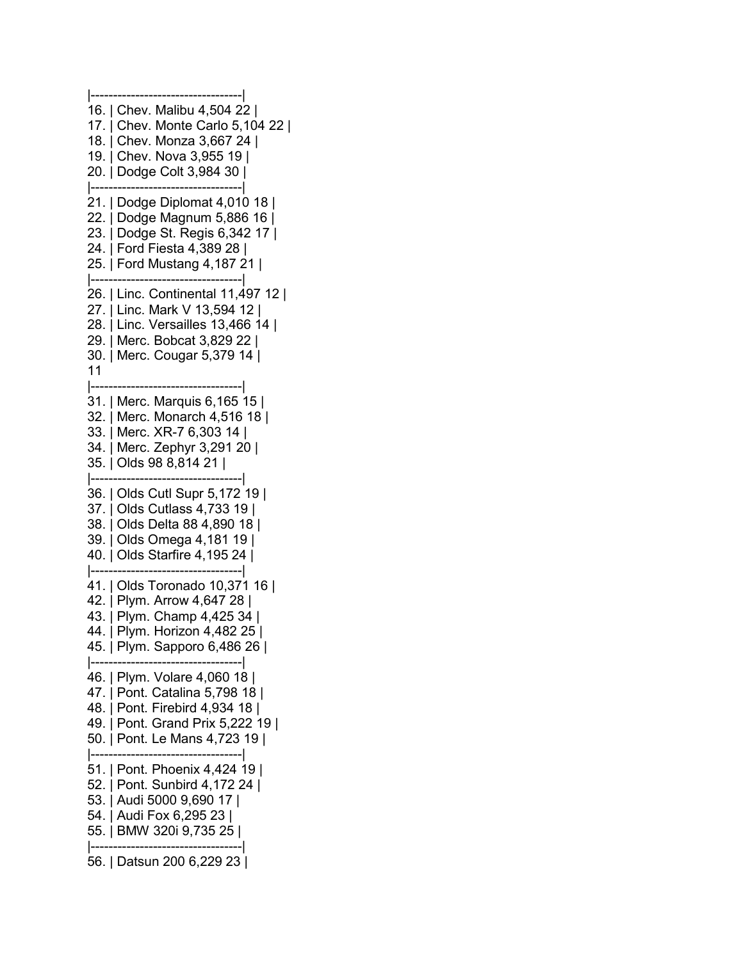|----------------------------------| 16. | Chev. Malibu 4,504 22 | 17. | Chev. Monte Carlo 5,104 22 | 18. | Chev. Monza 3,667 24 | 19. | Chev. Nova 3,955 19 | 20. | Dodge Colt 3,984 30 | |----------------------------------| 21. | Dodge Diplomat 4,010 18 | 22. | Dodge Magnum 5,886 16 | 23. | Dodge St. Regis 6,342 17 | 24. | Ford Fiesta 4,389 28 | 25. | Ford Mustang 4,187 21 | |----------------------------------| 26. | Linc. Continental 11,497 12 | 27. | Linc. Mark V 13,594 12 | 28. | Linc. Versailles 13,466 14 | 29. | Merc. Bobcat 3,829 22 | 30. | Merc. Cougar 5,379 14 | 11 |----------------------------------| 31. | Merc. Marquis 6,165 15 | 32. | Merc. Monarch 4,516 18 | 33. | Merc. XR-7 6,303 14 | 34. | Merc. Zephyr 3,291 20 | 35. | Olds 98 8,814 21 | |----------------------------------| 36. | Olds Cutl Supr 5,172 19 | 37. | Olds Cutlass 4,733 19 | 38. | Olds Delta 88 4,890 18 | 39. | Olds Omega 4,181 19 | 40. | Olds Starfire 4,195 24 | |----------------------------------| 41. | Olds Toronado 10,371 16 | 42. | Plym. Arrow 4,647 28 | 43. | Plym. Champ 4,425 34 | 44. | Plym. Horizon 4,482 25 | 45. | Plym. Sapporo 6,486 26 | |----------------------------------| 46. | Plym. Volare 4,060 18 | 47. | Pont. Catalina 5,798 18 | 48. | Pont. Firebird 4,934 18 | 49. | Pont. Grand Prix 5,222 19 | 50. | Pont. Le Mans 4,723 19 | |----------------------------------| 51. | Pont. Phoenix 4,424 19 | 52. | Pont. Sunbird 4,172 24 | 53. | Audi 5000 9,690 17 | 54. | Audi Fox 6,295 23 | 55. | BMW 320i 9,735 25 | |----------------------------------| 56. | Datsun 200 6,229 23 |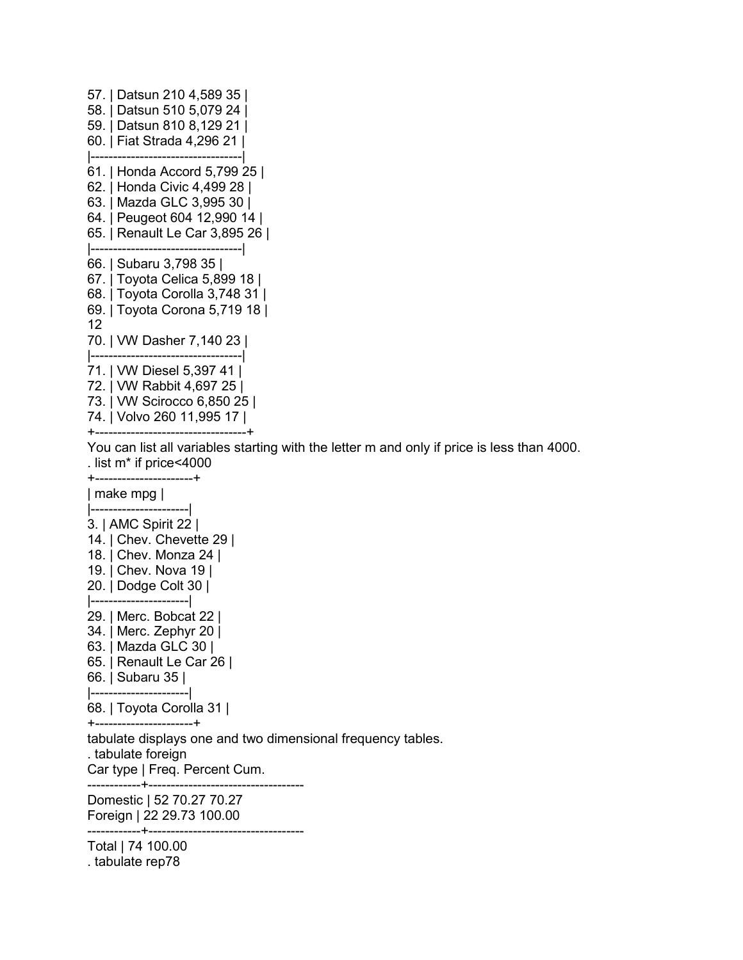```
57. | Datsun 210 4,589 35 |
58. | Datsun 510 5,079 24 |
59. | Datsun 810 8,129 21 |
60. | Fiat Strada 4,296 21 |
|----------------------------------|
61. | Honda Accord 5,799 25 |
62. | Honda Civic 4,499 28 |
63. | Mazda GLC 3,995 30 |
64. | Peugeot 604 12,990 14 |
65. | Renault Le Car 3,895 26 |
|----------------------------------|
66. | Subaru 3,798 35 |
67. | Toyota Celica 5,899 18 |
68. | Toyota Corolla 3,748 31 |
69. | Toyota Corona 5,719 18 |
12
70. | VW Dasher 7,140 23 |
|----------------------------------|
71. | VW Diesel 5,397 41 |
72. | VW Rabbit 4,697 25 |
73. | VW Scirocco 6,850 25 |
74. | Volvo 260 11,995 17 |
```
+----------------------------------+

You can list all variables starting with the letter m and only if price is less than 4000. . list m\* if price<4000

| make mpg |

+----------------------+

|----------------------| 3. | AMC Spirit 22 | 14. | Chev. Chevette 29 | 18. | Chev. Monza 24 | 19. | Chev. Nova 19 | 20. | Dodge Colt 30 | |----------------------| 29. | Merc. Bobcat 22 | 34. | Merc. Zephyr 20 | 63. | Mazda GLC 30 | 65. | Renault Le Car 26 | 66. | Subaru 35 | |----------------------| 68. | Toyota Corolla 31 | +----------------------+ tabulate displays one and two dimensional frequency tables. . tabulate foreign Car type | Freq. Percent Cum. ------------+----------------------------------- Domestic | 52 70.27 70.27 Foreign | 22 29.73 100.00 ------------+----------------------------------- Total | 74 100.00 . tabulate rep78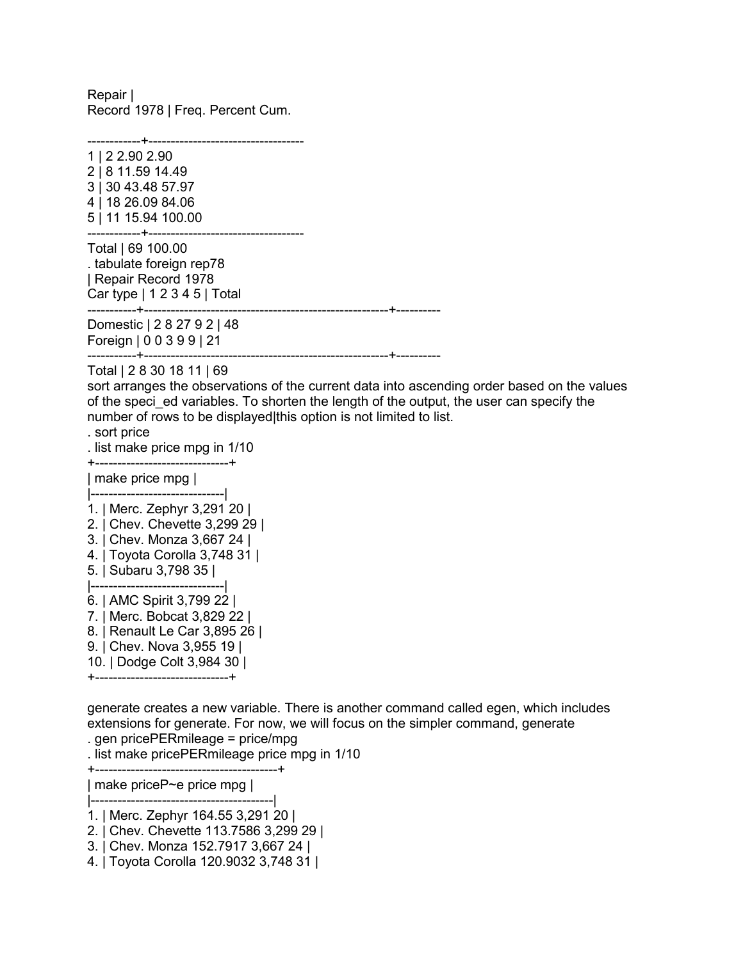Repair | Record 1978 | Freq. Percent Cum.

------------+-----------------------------------

1 | 2 2.90 2.90 2 | 8 11.59 14.49 3 | 30 43.48 57.97 4 | 18 26.09 84.06 5 | 11 15.94 100.00 ------------+----------------------------------- Total | 69 100.00 . tabulate foreign rep78 | Repair Record 1978 Car type | 1 2 3 4 5 | Total -----------+-------------------------------------------------------+---------- Domestic | 2 8 27 9 2 | 48 Foreign | 0 0 3 9 9 | 21 -----------+-------------------------------------------------------+---------- Total | 2 8 30 18 11 | 69 sort arranges the observations of the current data into ascending order based on the values of the speci\_ed variables. To shorten the length of the output, the user can specify the number of rows to be displayed|this option is not limited to list. . sort price . list make price mpg in 1/10 +------------------------------+ | make price mpg | |------------------------------| 1. | Merc. Zephyr 3,291 20 | 2. | Chev. Chevette 3,299 29 | 3. | Chev. Monza 3,667 24 | 4. | Toyota Corolla 3,748 31 | 5. | Subaru 3,798 35 | |------------------------------| 6. | AMC Spirit 3,799 22 | 7. | Merc. Bobcat 3,829 22 | 8. | Renault Le Car 3,895 26 | 9. | Chev. Nova 3,955 19 | 10. | Dodge Colt 3,984 30 | +------------------------------+

generate creates a new variable. There is another command called egen, which includes extensions for generate. For now, we will focus on the simpler command, generate . gen pricePERmileage = price/mpg

. list make pricePERmileage price mpg in 1/10

+-----------------------------------------+

| make priceP~e price mpg |

|-----------------------------------------|

1. | Merc. Zephyr 164.55 3,291 20 |

2. | Chev. Chevette 113.7586 3,299 29 |

3. | Chev. Monza 152.7917 3,667 24 |

4. | Toyota Corolla 120.9032 3,748 31 |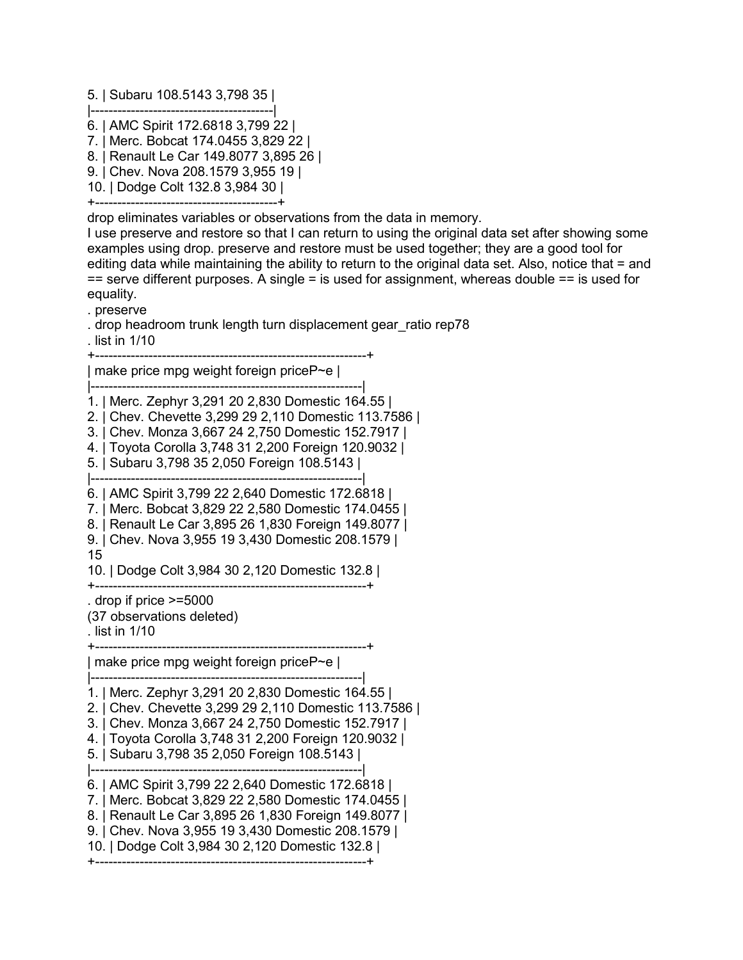5. | Subaru 108.5143 3,798 35 |

- |-----------------------------------------| 6. | AMC Spirit 172.6818 3,799 22 |
- 7. | Merc. Bobcat 174.0455 3,829 22 |
- 8. | Renault Le Car 149.8077 3,895 26 |
- 9. | Chev. Nova 208.1579 3,955 19 |
- 10. | Dodge Colt 132.8 3,984 30 |

+-----------------------------------------+

drop eliminates variables or observations from the data in memory.

I use preserve and restore so that I can return to using the original data set after showing some examples using drop. preserve and restore must be used together; they are a good tool for editing data while maintaining the ability to return to the original data set. Also, notice that = and == serve different purposes. A single = is used for assignment, whereas double == is used for equality.

. preserve

. drop headroom trunk length turn displacement gear\_ratio rep78

. list in 1/10

+-------------------------------------------------------------+

| make price mpg weight foreign priceP~e |

|-------------------------------------------------------------|

1. | Merc. Zephyr 3,291 20 2,830 Domestic 164.55 |

- 2. | Chev. Chevette 3,299 29 2,110 Domestic 113.7586 |
- 3. | Chev. Monza 3,667 24 2,750 Domestic 152.7917 |
- 4. | Toyota Corolla 3,748 31 2,200 Foreign 120.9032 |
- 5. | Subaru 3,798 35 2,050 Foreign 108.5143 |

|-------------------------------------------------------------|

6. | AMC Spirit 3,799 22 2,640 Domestic 172.6818 |

7. | Merc. Bobcat 3,829 22 2,580 Domestic 174.0455 |

- 8. | Renault Le Car 3,895 26 1,830 Foreign 149.8077 |
- 9. | Chev. Nova 3,955 19 3,430 Domestic 208.1579 | 15

10. | Dodge Colt 3,984 30 2,120 Domestic 132.8 |

+-------------------------------------------------------------+

. drop if price >=5000

(37 observations deleted) . list in 1/10

+-------------------------------------------------------------+

| make price mpg weight foreign priceP~e |

|-------------------------------------------------------------|

1. | Merc. Zephyr 3,291 20 2,830 Domestic 164.55 |

2. | Chev. Chevette 3,299 29 2,110 Domestic 113.7586 |

3. | Chev. Monza 3,667 24 2,750 Domestic 152.7917 |

4. | Toyota Corolla 3,748 31 2,200 Foreign 120.9032 |

5. | Subaru 3,798 35 2,050 Foreign 108.5143 | |-------------------------------------------------------------|

6. | AMC Spirit 3,799 22 2,640 Domestic 172.6818 |

7. | Merc. Bobcat 3,829 22 2,580 Domestic 174.0455 |

8. | Renault Le Car 3,895 26 1,830 Foreign 149.8077 |

9. | Chev. Nova 3,955 19 3,430 Domestic 208.1579 |

10. | Dodge Colt 3,984 30 2,120 Domestic 132.8 |

+-------------------------------------------------------------+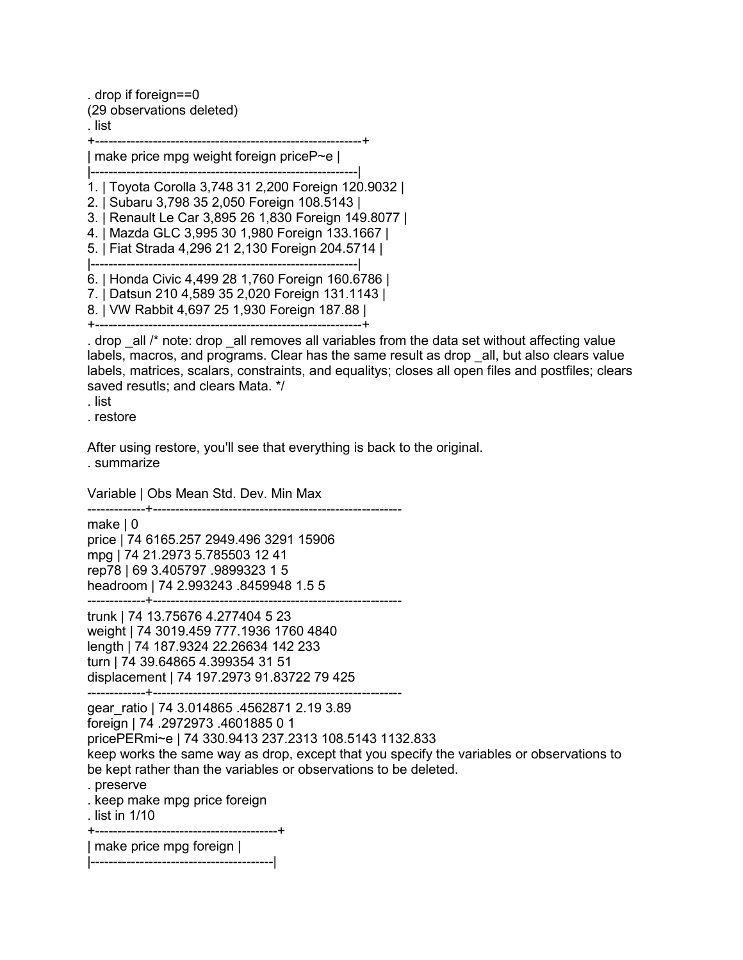. drop if foreign==0 (29 observations deleted) . list +------------------------------------------------------------+ | make price mpg weight foreign priceP~e | |------------------------------------------------------------| 1. | Toyota Corolla 3,748 31 2,200 Foreign 120.9032 | 2. | Subaru 3,798 35 2,050 Foreign 108.5143 |

3. | Renault Le Car 3,895 26 1,830 Foreign 149.8077 | 4. | Mazda GLC 3,995 30 1,980 Foreign 133.1667 |

5. | Fiat Strada 4,296 21 2,130 Foreign 204.5714 |

|------------------------------------------------------------|

6. | Honda Civic 4,499 28 1,760 Foreign 160.6786 |

7. | Datsun 210 4,589 35 2,020 Foreign 131.1143 |

8. | VW Rabbit 4,697 25 1,930 Foreign 187.88 | +------------------------------------------------------------+

. drop  $\alpha$ all /\* note: drop  $\alpha$ all removes all variables from the data set without affecting value labels, macros, and programs. Clear has the same result as drop \_all, but also clears value labels, matrices, scalars, constraints, and equalitys; closes all open files and postfiles; clears saved resutls; and clears Mata. \*/

. list

. restore

After using restore, you'll see that everything is back to the original. . summarize

Variable | Obs Mean Std. Dev. Min Max

-------------+------------------------------------------------------- make | 0 price | 74 6165.257 2949.496 3291 15906 mpg | 74 21.2973 5.785503 12 41 rep78 | 69 3.405797 .9899323 1 5 headroom | 74 2.993243 .8459948 1.5 5

-------------+--------------------------------------------------------

trunk | 74 13.75676 4.277404 5 23 weight | 74 3019.459 777.1936 1760 4840 length | 74 187.9324 22.26634 142 233 turn | 74 39.64865 4.399354 31 51 displacement | 74 197.2973 91.83722 79 425 -------------+--------------------------------------------------------

gear\_ratio | 74 3.014865 .4562871 2.19 3.89 foreign | 74 .2972973 .4601885 0 1 pricePERmi~e | 74 330.9413 237.2313 108.5143 1132.833 keep works the same way as drop, except that you specify the variables or observations to be kept rather than the variables or observations to be deleted.

```
. preserve
```
. keep make mpg price foreign

. list in 1/10

+-----------------------------------------+ | make price mpg foreign |

|-----------------------------------------|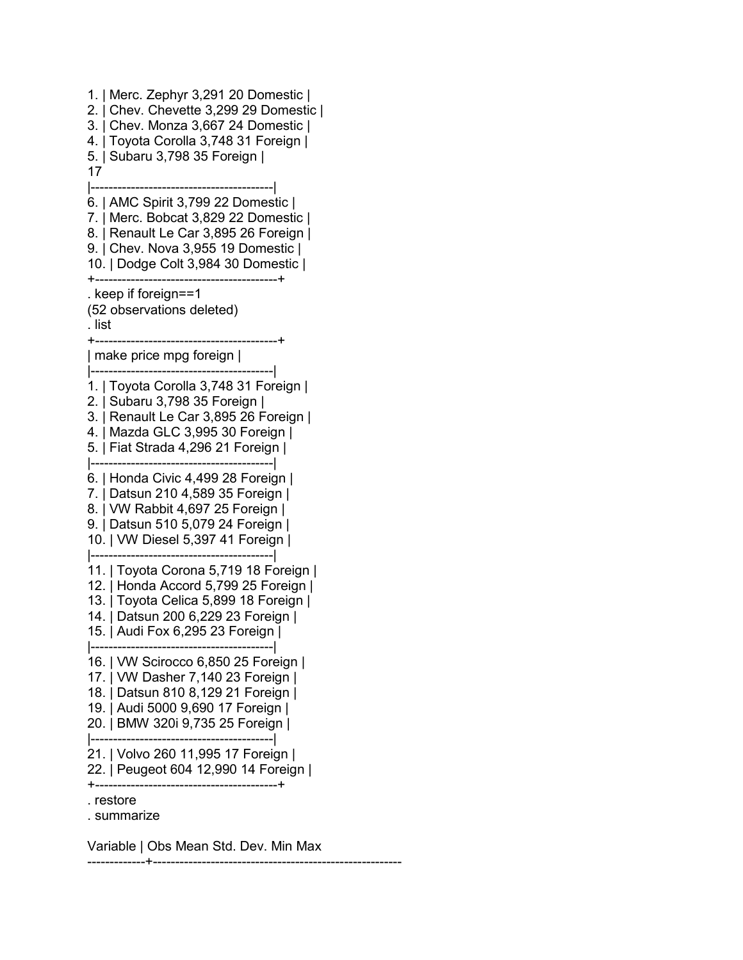1. | Merc. Zephyr 3,291 20 Domestic | 2. | Chev. Chevette 3,299 29 Domestic | 3. | Chev. Monza 3,667 24 Domestic | 4. | Toyota Corolla 3,748 31 Foreign | 5. | Subaru 3,798 35 Foreign | 17 |-----------------------------------------| 6. | AMC Spirit 3,799 22 Domestic | 7. | Merc. Bobcat 3,829 22 Domestic | 8. | Renault Le Car 3,895 26 Foreign | 9. | Chev. Nova 3,955 19 Domestic | 10. | Dodge Colt 3,984 30 Domestic | +-----------------------------------------+ . keep if foreign==1 (52 observations deleted) . list +-----------------------------------------+ | make price mpg foreign | |-----------------------------------------| 1. | Toyota Corolla 3,748 31 Foreign | 2. | Subaru 3,798 35 Foreign | 3. | Renault Le Car 3,895 26 Foreign | 4. | Mazda GLC 3,995 30 Foreign | 5. | Fiat Strada 4,296 21 Foreign | |-----------------------------------------| 6. | Honda Civic 4,499 28 Foreign | 7. | Datsun 210 4,589 35 Foreign | 8. | VW Rabbit 4,697 25 Foreign | 9. | Datsun 510 5,079 24 Foreign | 10. | VW Diesel 5,397 41 Foreign | |-----------------------------------------| 11. | Toyota Corona 5,719 18 Foreign | 12. | Honda Accord 5,799 25 Foreign | 13. | Toyota Celica 5,899 18 Foreign | 14. | Datsun 200 6,229 23 Foreign | 15. | Audi Fox 6,295 23 Foreign | |-----------------------------------------| 16. | VW Scirocco 6,850 25 Foreign | 17. | VW Dasher 7,140 23 Foreign | 18. | Datsun 810 8,129 21 Foreign | 19. | Audi 5000 9,690 17 Foreign | 20. | BMW 320i 9,735 25 Foreign | |-----------------------------------------| 21. | Volvo 260 11,995 17 Foreign | 22. | Peugeot 604 12,990 14 Foreign | +-----------------------------------------+ . restore . summarize

Variable | Obs Mean Std. Dev. Min Max -------------+--------------------------------------------------------